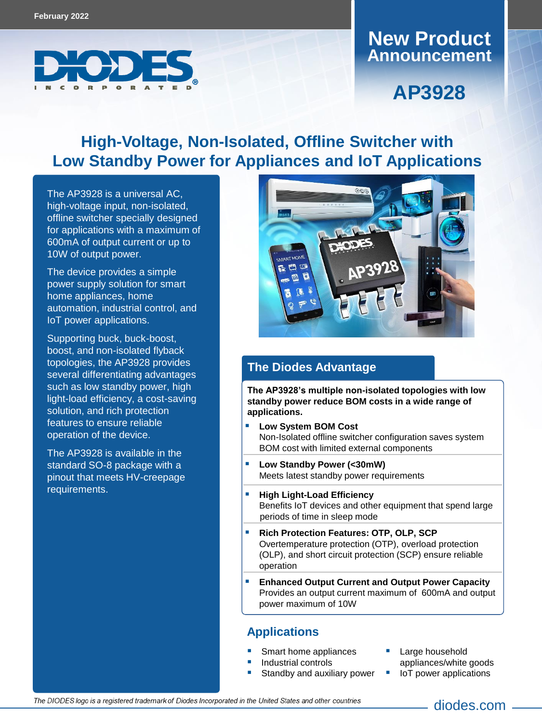

### **Announcement New Product**

# **AP3928**

# **High-Voltage, Non-Isolated, Offline Switcher with Low Standby Power for Appliances and IoT Applications**

The [AP392](https://www.diodes.com/part/AP3928)8 is a universal AC, high-voltage input, non-isolated, offline switcher specially designed for applications with a maximum of 600mA of output current or up to 10W of output power.

The device provides a simple power supply solution for smart home appliances, home automation, industrial control, and IoT power applications.

Supporting buck, buck-boost, boost, and non-isolated flyback topologies, the AP3928 provides several differentiating advantages such as low standby power, high light-load efficiency, a cost-saving solution, and rich protection features to ensure reliable operation of the device.

The AP3928 is available in the standard SO-8 package with a pinout that meets HV-creepage requirements.



#### **The Diodes Advantage**

**The AP3928's multiple non-isolated topologies with low standby power reduce BOM costs in a wide range of applications.**

- **Low System BOM Cost** Non-Isolated offline switcher configuration saves system BOM cost with limited external components
- **Low Standby Power (<30mW)** Meets latest standby power requirements
- **High Light-Load Efficiency**  Benefits IoT devices and other equipment that spend large periods of time in sleep mode
- **Rich Protection Features: OTP, OLP, SCP** Overtemperature protection (OTP), overload protection (OLP), and short circuit protection (SCP) ensure reliable operation
- **Enhanced Output Current and Output Power Capacity** Provides an output current maximum of 600mA and output power maximum of 10W

#### **Applications**

- Smart home appliances
- Industrial controls
- Standby and auxiliary power
- Large household appliances/white goods IoT power applications